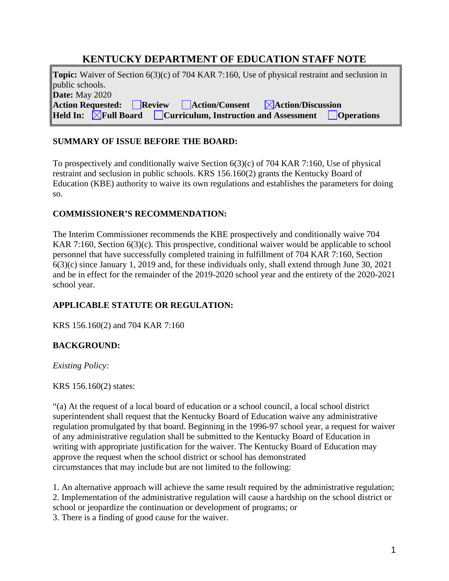# **KENTUCKY DEPARTMENT OF EDUCATION STAFF NOTE**

**Topic:** Waiver of Section 6(3)(c) of 704 KAR 7:160, Use of physical restraint and seclusion in public schools. **Date:** May 2020 Action Requested: Review Action/Consent **Action/Discussion**<br> **Held In: AFull Board Curriculum, Instruction and Assessment CC Held Influential Board Curriculum, Instruction and Assessment Departum Operations** 

## **SUMMARY OF ISSUE BEFORE THE BOARD:**

To prospectively and conditionally waive Section 6(3)(c) of 704 KAR 7:160, Use of physical restraint and seclusion in public schools. KRS 156.160(2) grants the Kentucky Board of Education (KBE) authority to waive its own regulations and establishes the parameters for doing so.

## **COMMISSIONER'S RECOMMENDATION:**

The Interim Commissioner recommends the KBE prospectively and conditionally waive 704 KAR 7:160, Section 6(3)(c). This prospective, conditional waiver would be applicable to school personnel that have successfully completed training in fulfillment of 704 KAR 7:160, Section 6(3)(c) since January 1, 2019 and, for these individuals only, shall extend through June 30, 2021 and be in effect for the remainder of the 2019-2020 school year and the entirety of the 2020-2021 school year.

## **APPLICABLE STATUTE OR REGULATION:**

KRS 156.160(2) and 704 KAR 7:160

## **BACKGROUND:**

*Existing Policy:*

KRS 156.160(2) states:

"(a) At the request of a local board of education or a school council, a local school district superintendent shall request that the Kentucky Board of Education waive any administrative regulation promulgated by that board. Beginning in the 1996-97 school year, a request for waiver of any administrative regulation shall be submitted to the Kentucky Board of Education in writing with appropriate justification for the waiver. The Kentucky Board of Education may approve the request when the school district or school has demonstrated circumstances that may include but are not limited to the following:

1. An alternative approach will achieve the same result required by the administrative regulation; 2. Implementation of the administrative regulation will cause a hardship on the school district or school or jeopardize the continuation or development of programs; or 3. There is a finding of good cause for the waiver.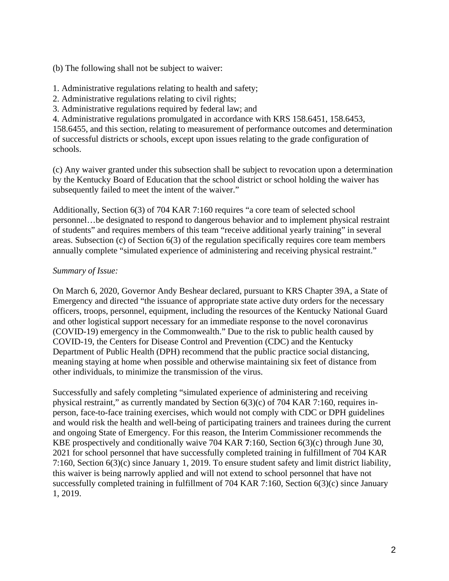(b) The following shall not be subject to waiver:

1. Administrative regulations relating to health and safety;

2. Administrative regulations relating to civil rights;

3. Administrative regulations required by federal law; and

4. Administrative regulations promulgated in accordance with KRS 158.6451, 158.6453, 158.6455, and this section, relating to measurement of performance outcomes and determination of successful districts or schools, except upon issues relating to the grade configuration of schools.

(c) Any waiver granted under this subsection shall be subject to revocation upon a determination by the Kentucky Board of Education that the school district or school holding the waiver has subsequently failed to meet the intent of the waiver."

Additionally, Section 6(3) of 704 KAR 7:160 requires "a core team of selected school personnel…be designated to respond to dangerous behavior and to implement physical restraint of students" and requires members of this team "receive additional yearly training" in several areas. Subsection (c) of Section 6(3) of the regulation specifically requires core team members annually complete "simulated experience of administering and receiving physical restraint."

## *Summary of Issue:*

On March 6, 2020, Governor Andy Beshear declared, pursuant to KRS Chapter 39A, a State of Emergency and directed "the issuance of appropriate state active duty orders for the necessary officers, troops, personnel, equipment, including the resources of the Kentucky National Guard and other logistical support necessary for an immediate response to the novel coronavirus (COVID-19) emergency in the Commonwealth." Due to the risk to public health caused by COVID-19, the Centers for Disease Control and Prevention (CDC) and the Kentucky Department of Public Health (DPH) recommend that the public practice social distancing, meaning staying at home when possible and otherwise maintaining six feet of distance from other individuals, to minimize the transmission of the virus.

Successfully and safely completing "simulated experience of administering and receiving physical restraint," as currently mandated by Section 6(3)(c) of 704 KAR 7:160, requires inperson, face-to-face training exercises, which would not comply with CDC or DPH guidelines and would risk the health and well-being of participating trainers and trainees during the current and ongoing State of Emergency. For this reason, the Interim Commissioner recommends the KBE prospectively and conditionally waive 704 KAR **7**:160, Section 6(3)(c) through June 30, 2021 for school personnel that have successfully completed training in fulfillment of 704 KAR 7:160, Section 6(3)(c) since January 1, 2019. To ensure student safety and limit district liability, this waiver is being narrowly applied and will not extend to school personnel that have not successfully completed training in fulfillment of 704 KAR 7:160, Section 6(3)(c) since January 1, 2019.